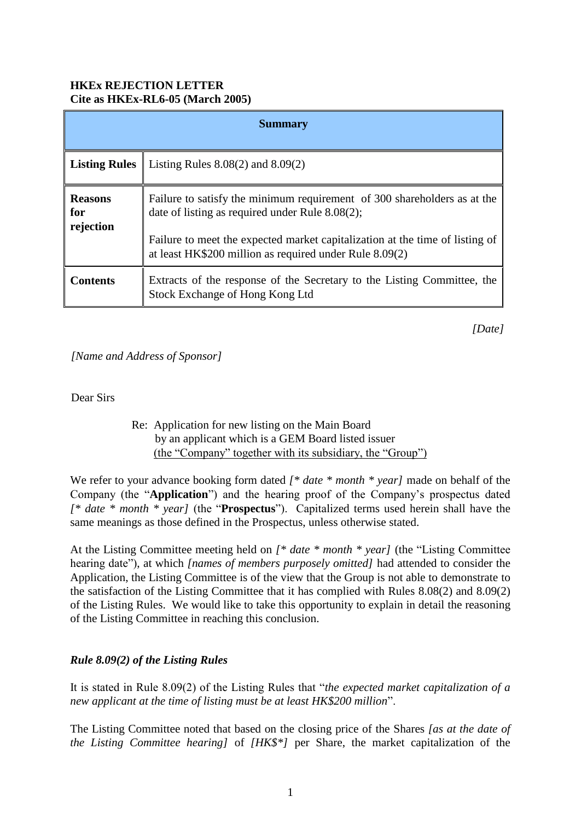## **HKEx REJECTION LETTER Cite as HKEx-RL6-05 (March 2005)**

| <b>Summary</b>                     |                                                                                                                                                                                                                                                                        |
|------------------------------------|------------------------------------------------------------------------------------------------------------------------------------------------------------------------------------------------------------------------------------------------------------------------|
| <b>Listing Rules</b>               | Listing Rules $8.08(2)$ and $8.09(2)$                                                                                                                                                                                                                                  |
| <b>Reasons</b><br>for<br>rejection | Failure to satisfy the minimum requirement of 300 shareholders as at the<br>date of listing as required under Rule 8.08(2);<br>Failure to meet the expected market capitalization at the time of listing of<br>at least HK\$200 million as required under Rule 8.09(2) |
| <b>Contents</b>                    | Extracts of the response of the Secretary to the Listing Committee, the<br>Stock Exchange of Hong Kong Ltd                                                                                                                                                             |

*[Date]*

*[Name and Address of Sponsor]*

Dear Sirs

 Re: Application for new listing on the Main Board by an applicant which is a GEM Board listed issuer (the "Company" together with its subsidiary, the "Group")

We refer to your advance booking form dated *[\* date \* month \* year]* made on behalf of the Company (the "**Application**") and the hearing proof of the Company's prospectus dated *[\* date \* month \* year]* (the "**Prospectus**"). Capitalized terms used herein shall have the same meanings as those defined in the Prospectus, unless otherwise stated.

At the Listing Committee meeting held on *[\* date \* month \* year]* (the "Listing Committee hearing date"), at which *[names of members purposely omitted]* had attended to consider the Application, the Listing Committee is of the view that the Group is not able to demonstrate to the satisfaction of the Listing Committee that it has complied with Rules 8.08(2) and 8.09(2) of the Listing Rules. We would like to take this opportunity to explain in detail the reasoning of the Listing Committee in reaching this conclusion.

## *Rule 8.09(2) of the Listing Rules*

It is stated in Rule 8.09(2) of the Listing Rules that "*the expected market capitalization of a new applicant at the time of listing must be at least HK\$200 million*".

The Listing Committee noted that based on the closing price of the Shares *[as at the date of the Listing Committee hearing]* of *[HK\$\*]* per Share, the market capitalization of the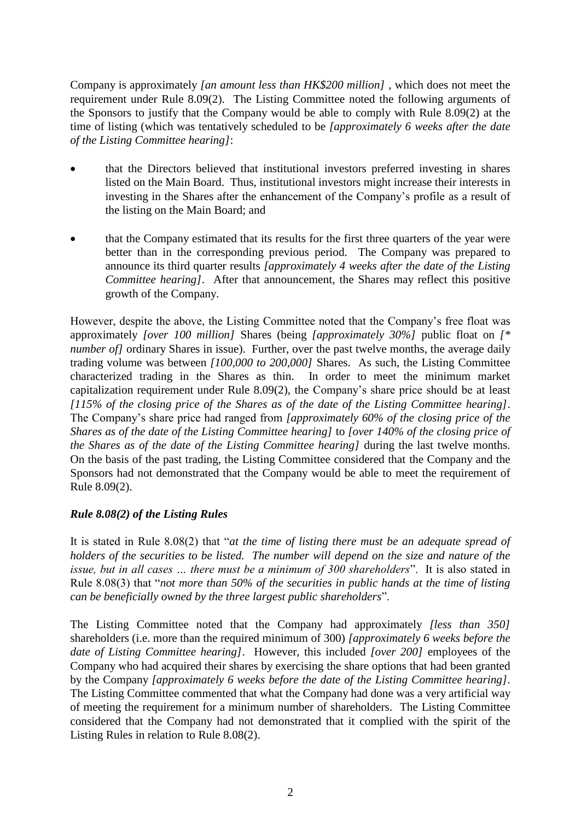Company is approximately *[an amount less than HK\$200 million]* , which does not meet the requirement under Rule 8.09(2). The Listing Committee noted the following arguments of the Sponsors to justify that the Company would be able to comply with Rule 8.09(2) at the time of listing (which was tentatively scheduled to be *[approximately 6 weeks after the date of the Listing Committee hearing]*:

- that the Directors believed that institutional investors preferred investing in shares listed on the Main Board. Thus, institutional investors might increase their interests in investing in the Shares after the enhancement of the Company's profile as a result of the listing on the Main Board; and
- that the Company estimated that its results for the first three quarters of the year were better than in the corresponding previous period. The Company was prepared to announce its third quarter results *[approximately 4 weeks after the date of the Listing Committee hearing]*. After that announcement, the Shares may reflect this positive growth of the Company.

However, despite the above, the Listing Committee noted that the Company's free float was approximately *[over 100 million]* Shares (being *[approximately 30%]* public float on *[\* number of]* ordinary Shares in issue). Further, over the past twelve months, the average daily trading volume was between *[100,000 to 200,000]* Shares. As such, the Listing Committee characterized trading in the Shares as thin. In order to meet the minimum market capitalization requirement under Rule 8.09(2), the Company's share price should be at least *[115% of the closing price of the Shares as of the date of the Listing Committee hearing]*. The Company's share price had ranged from *[approximately 60% of the closing price of the Shares as of the date of the Listing Committee hearing]* to *[over 140% of the closing price of the Shares as of the date of the Listing Committee hearing]* during the last twelve months. On the basis of the past trading, the Listing Committee considered that the Company and the Sponsors had not demonstrated that the Company would be able to meet the requirement of Rule 8.09(2).

## *Rule 8.08(2) of the Listing Rules*

It is stated in Rule 8.08(2) that "*at the time of listing there must be an adequate spread of holders of the securities to be listed. The number will depend on the size and nature of the issue, but in all cases … there must be a minimum of 300 shareholders*". It is also stated in Rule 8.08(3) that "*not more than 50% of the securities in public hands at the time of listing can be beneficially owned by the three largest public shareholders*".

The Listing Committee noted that the Company had approximately *[less than 350]*  shareholders (i.e. more than the required minimum of 300) *[approximately 6 weeks before the date of Listing Committee hearing]*. However, this included *[over 200]* employees of the Company who had acquired their shares by exercising the share options that had been granted by the Company *[approximately 6 weeks before the date of the Listing Committee hearing]*. The Listing Committee commented that what the Company had done was a very artificial way of meeting the requirement for a minimum number of shareholders. The Listing Committee considered that the Company had not demonstrated that it complied with the spirit of the Listing Rules in relation to Rule 8.08(2).